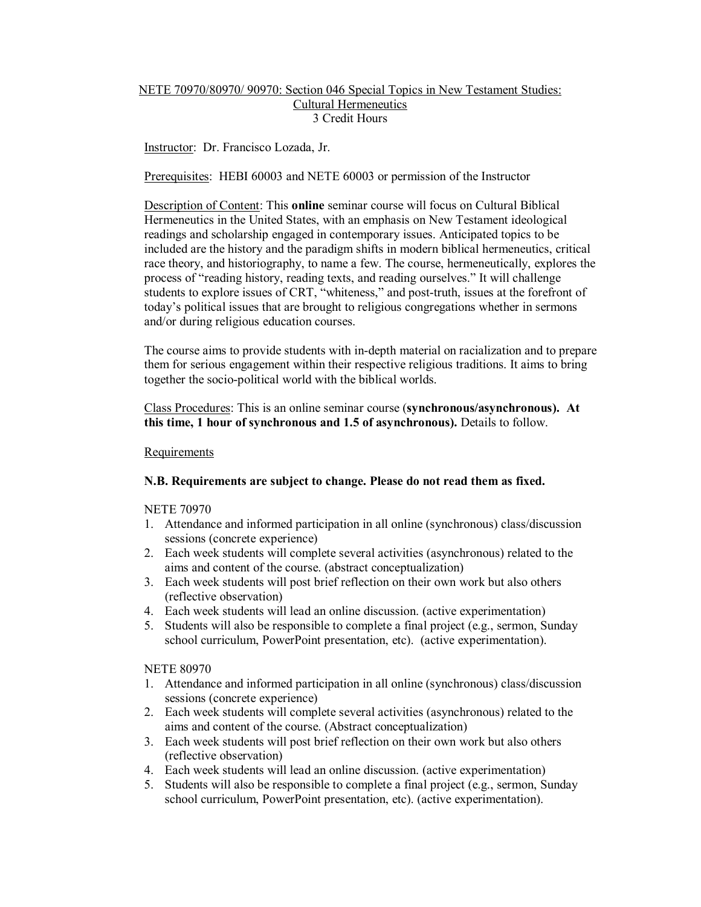# NETE 70970/80970/ 90970: Section 046 Special Topics in New Testament Studies: Cultural Hermeneutics 3 Credit Hours

# Instructor: Dr. Francisco Lozada, Jr.

Prerequisites: HEBI 60003 and NETE 60003 or permission of the Instructor

Description of Content: This **online** seminar course will focus on Cultural Biblical Hermeneutics in the United States, with an emphasis on New Testament ideological readings and scholarship engaged in contemporary issues. Anticipated topics to be included are the history and the paradigm shifts in modern biblical hermeneutics, critical race theory, and historiography, to name a few. The course, hermeneutically, explores the process of "reading history, reading texts, and reading ourselves." It will challenge students to explore issues of CRT, "whiteness," and post-truth, issues at the forefront of today's political issues that are brought to religious congregations whether in sermons and/or during religious education courses.

The course aims to provide students with in-depth material on racialization and to prepare them for serious engagement within their respective religious traditions. It aims to bring together the socio-political world with the biblical worlds.

Class Procedures: This is an online seminar course (**synchronous/asynchronous). At this time, 1 hour of synchronous and 1.5 of asynchronous).** Details to follow.

### **Requirements**

### **N.B. Requirements are subject to change. Please do not read them as fixed.**

NETE 70970

- 1. Attendance and informed participation in all online (synchronous) class/discussion sessions (concrete experience)
- 2. Each week students will complete several activities (asynchronous) related to the aims and content of the course. (abstract conceptualization)
- 3. Each week students will post brief reflection on their own work but also others (reflective observation)
- 4. Each week students will lead an online discussion. (active experimentation)
- 5. Students will also be responsible to complete a final project  $(e.g., serman, Sunday)$ school curriculum, PowerPoint presentation, etc). (active experimentation).

NETE 80970

- 1. Attendance and informed participation in all online (synchronous) class/discussion sessions (concrete experience)
- 2. Each week students will complete several activities (asynchronous) related to the aims and content of the course. (Abstract conceptualization)
- 3. Each week students will post brief reflection on their own work but also others (reflective observation)
- 4. Each week students will lead an online discussion. (active experimentation)
- 5. Students will also be responsible to complete a final project (e.g., sermon, Sunday school curriculum, PowerPoint presentation, etc). (active experimentation).